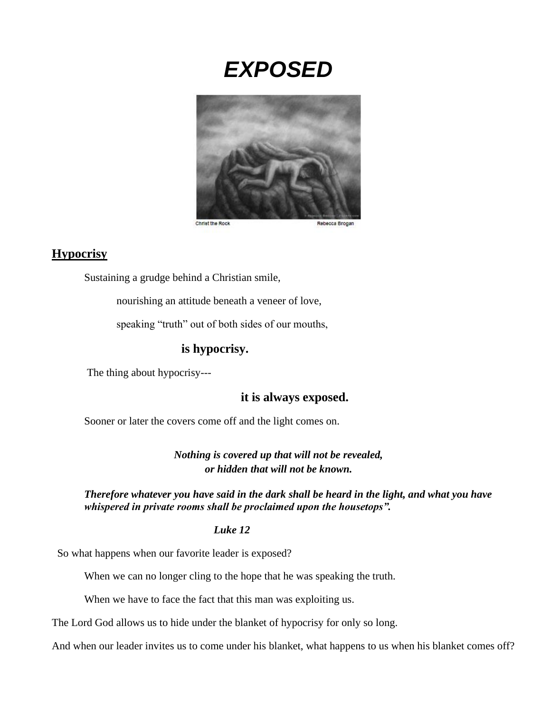# *EXPOSED*



## **Hypocrisy**

Sustaining a grudge behind a Christian smile,

nourishing an attitude beneath a veneer of love,

speaking "truth" out of both sides of our mouths,

## **is hypocrisy.**

The thing about hypocrisy---

## **it is always exposed.**

Sooner or later the covers come off and the light comes on.

*Nothing is covered up that will not be revealed, or hidden that will not be known.*

*Therefore whatever you have said in the dark shall be heard in the light, and what you have whispered in private rooms shall be proclaimed upon the housetops".* 

#### *Luke 12*

So what happens when our favorite leader is exposed?

When we can no longer cling to the hope that he was speaking the truth.

When we have to face the fact that this man was exploiting us.

The Lord God allows us to hide under the blanket of hypocrisy for only so long.

And when our leader invites us to come under his blanket, what happens to us when his blanket comes off?